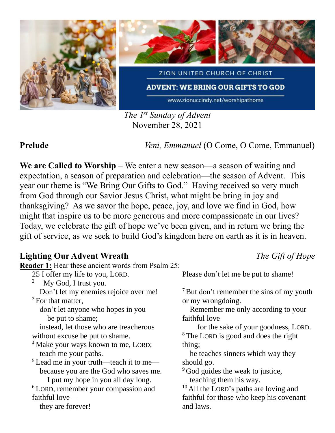

*The 1st Sunday of Advent* November 28, 2021

**Prelude** *Veni, Emmanuel* (O Come, O Come, Emmanuel)

**We are Called to Worship** – We enter a new season—a season of waiting and expectation, a season of preparation and celebration—the season of Advent. This year our theme is "We Bring Our Gifts to God." Having received so very much from God through our Savior Jesus Christ, what might be bring in joy and thanksgiving? As we savor the hope, peace, joy, and love we find in God, how might that inspire us to be more generous and more compassionate in our lives? Today, we celebrate the gift of hope we've been given, and in return we bring the gift of service, as we seek to build God's kingdom here on earth as it is in heaven.

## **Lighting Our Advent Wreath** *The Gift of Hope*

**Reader 1:** Hear these ancient words from Psalm 25: 25 I offer my life to you, LORD.

- 2 My God, I trust you. Don't let my enemies rejoice over me!
- $3$  For that matter.

 don't let anyone who hopes in you be put to shame;

 instead, let those who are treacherous without excuse be put to shame.

<sup>4</sup> Make your ways known to me, LORD; teach me your paths.

<sup>5</sup> Lead me in your truth—teach it to me because you are the God who saves me. I put my hope in you all day long.

<sup>6</sup> LORD, remember your compassion and faithful love—

```
 they are forever!
```
Please don't let me be put to shame!

<sup>7</sup>But don't remember the sins of my youth or my wrongdoing.

 Remember me only according to your faithful love

 for the sake of your goodness, LORD. <sup>8</sup> The LORD is good and does the right thing;

 he teaches sinners which way they should go.

<sup>9</sup> God guides the weak to justice, teaching them his way.

<sup>10</sup> All the LORD's paths are loving and faithful for those who keep his covenant and laws.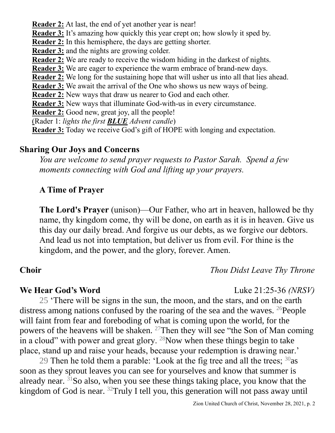**Reader 2:** At last, the end of yet another year is near! **Reader 3:** It's amazing how quickly this year crept on; how slowly it sped by. **Reader 2:** In this hemisphere, the days are getting shorter. **Reader 3:** and the nights are growing colder. **Reader 2:** We are ready to receive the wisdom hiding in the darkest of nights. **Reader 3:** We are eager to experience the warm embrace of brand-new days. **Reader 2:** We long for the sustaining hope that will usher us into all that lies ahead. **Reader 3:** We await the arrival of the One who shows us new ways of being. **Reader 2:** New ways that draw us nearer to God and each other. **Reader 3:** New ways that illuminate God-with-us in every circumstance. **Reader 2:** Good new, great joy, all the people! (Rader 1: *lights the first BLUE Advent candle*)

**Reader 3:** Today we receive God's gift of HOPE with longing and expectation.

## **Sharing Our Joys and Concerns**

*You are welcome to send prayer requests to Pastor Sarah. Spend a few moments connecting with God and lifting up your prayers.*

## **A Time of Prayer**

**The Lord's Prayer** (unison)—Our Father, who art in heaven, hallowed be thy name, thy kingdom come, thy will be done, on earth as it is in heaven. Give us this day our daily bread. And forgive us our debts, as we forgive our debtors. And lead us not into temptation, but deliver us from evil. For thine is the kingdom, and the power, and the glory, forever. Amen.

## **Choir** *Thou Didst Leave Thy Throne*

### **We Hear God's Word** Luke 21:25-36 *(NRSV)*

25 'There will be signs in the sun, the moon, and the stars, and on the earth distress among nations confused by the roaring of the sea and the waves. <sup>26</sup>People will faint from fear and foreboding of what is coming upon the world, for the powers of the heavens will be shaken. <sup>27</sup>Then they will see "the Son of Man coming in a cloud" with power and great glory.  $^{28}$ Now when these things begin to take place, stand up and raise your heads, because your redemption is drawing near.'

29 Then he told them a parable: 'Look at the fig tree and all the trees;  $30$ as soon as they sprout leaves you can see for yourselves and know that summer is already near.  $31$ So also, when you see these things taking place, you know that the kingdom of God is near. <sup>32</sup>Truly I tell you, this generation will not pass away until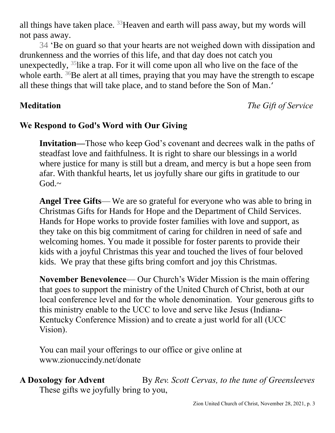all things have taken place.  $33$  Heaven and earth will pass away, but my words will not pass away.

34 'Be on guard so that your hearts are not weighed down with dissipation and drunkenness and the worries of this life, and that day does not catch you unexpectedly,  $35$  like a trap. For it will come upon all who live on the face of the whole earth.  $36Be$  alert at all times, praying that you may have the strength to escape all these things that will take place, and to stand before the Son of Man.'

**Meditation** *The Gift of Service*

## **We Respond to God's Word with Our Giving**

**Invitation—**Those who keep God's covenant and decrees walk in the paths of steadfast love and faithfulness. It is right to share our blessings in a world where justice for many is still but a dream, and mercy is but a hope seen from afar. With thankful hearts, let us joyfully share our gifts in gratitude to our  $God.~~$ 

**Angel Tree Gifts**— We are so grateful for everyone who was able to bring in Christmas Gifts for Hands for Hope and the Department of Child Services. Hands for Hope works to provide foster families with love and support, as they take on this big commitment of caring for children in need of safe and welcoming homes. You made it possible for foster parents to provide their kids with a joyful Christmas this year and touched the lives of four beloved kids. We pray that these gifts bring comfort and joy this Christmas.

**November Benevolence**— Our Church's Wider Mission is the main offering that goes to support the ministry of the United Church of Christ, both at our local conference level and for the whole denomination. Your generous gifts to this ministry enable to the UCC to love and serve like Jesus (Indiana-Kentucky Conference Mission) and to create a just world for all (UCC Vision).

You can mail your offerings to our office or give online at www.zionuccindy.net/donate

# **A Doxology for Advent** By *Rev. Scott Cervas, to the tune of Greensleeves*

These gifts we joyfully bring to you,